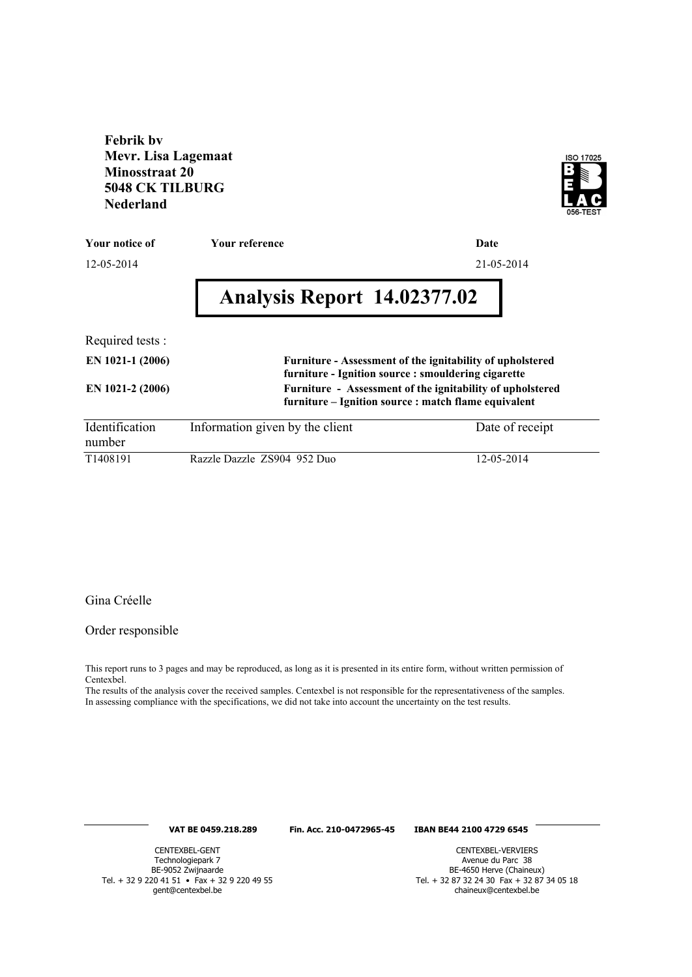**Febrik bv Mevr. Lisa Lagemaat Minosstraat 20 5048 CK TILBURG Nederland**



| Your notice of           | <b>Your reference</b>                                                                                             | Date            |
|--------------------------|-------------------------------------------------------------------------------------------------------------------|-----------------|
| 12-05-2014               |                                                                                                                   | 21-05-2014      |
|                          | Analysis Report 14.02377.02                                                                                       |                 |
| Required tests :         |                                                                                                                   |                 |
| EN 1021-1 (2006)         | Furniture - Assessment of the ignitability of upholstered<br>furniture - Ignition source : smouldering cigarette  |                 |
| EN 1021-2 (2006)         | Furniture - Assessment of the ignitability of upholstered<br>furniture – Ignition source : match flame equivalent |                 |
| Identification<br>number | Information given by the client                                                                                   | Date of receipt |

T1408191 Razzle Dazzle ZS904 952 Duo 12-05-2014

## Gina Créelle

Order responsible

This report runs to 3 pages and may be reproduced, as long as it is presented in its entire form, without written permission of Centexbel.

The results of the analysis cover the received samples. Centexbel is not responsible for the representativeness of the samples. In assessing compliance with the specifications, we did not take into account the uncertainty on the test results.

## **VAT BE 0459.218.289 Fin. Acc. 210-0472965-45 IBAN BE44 2100 4729 6545**

CENTEXBEL-GENT Technologiepark 7 BE-9052 Zwijnaarde Tel. + 32 9 220 41 51 • Fax + 32 9 220 49 55 gent@centexbel.be

CENTEXBEL-VERVIERS Avenue du Parc 38 BE-4650 Herve (Chaineux) Tel. + 32 87 32 24 30 Fax + 32 87 34 05 18 chaineux@centexbel.be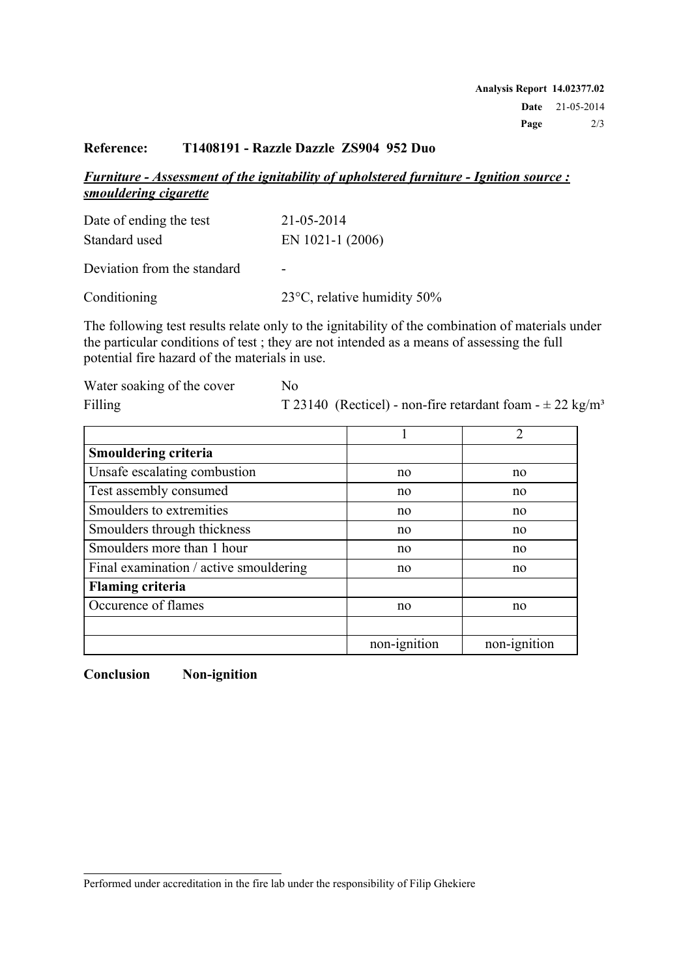## **Reference: T1408191 - Razzle Dazzle ZS904 952 Duo**

*Furniture - Assessment of the ignitability of upholstered furniture - Ignition source : smouldering cigarette*

| Date of ending the test     | 21-05-2014                            |
|-----------------------------|---------------------------------------|
| Standard used               | EN 1021-1 (2006)                      |
| Deviation from the standard | -                                     |
| Conditioning                | 23 $\degree$ C, relative humidity 50% |

The following test results relate only to the ignitability of the combination of materials under the particular conditions of test ; they are not intended as a means of assessing the full potential fire hazard of the materials in use.

| Water soaking of the cover | No.                                                                       |
|----------------------------|---------------------------------------------------------------------------|
| Filling                    | T 23140 (Recticel) - non-fire retardant foam - $\pm$ 22 kg/m <sup>3</sup> |

|                                        |              | 2            |
|----------------------------------------|--------------|--------------|
| <b>Smouldering criteria</b>            |              |              |
| Unsafe escalating combustion           | no           | no           |
| Test assembly consumed                 | no           | no           |
| Smoulders to extremities               | no           | no           |
| Smoulders through thickness            | no           | no           |
| Smoulders more than 1 hour             | no           | no           |
| Final examination / active smouldering | no           | no           |
| <b>Flaming criteria</b>                |              |              |
| Occurence of flames                    | no           | no           |
|                                        |              |              |
|                                        | non-ignition | non-ignition |

**Conclusion Non-ignition**

Performed under accreditation in the fire lab under the responsibility of Filip Ghekiere